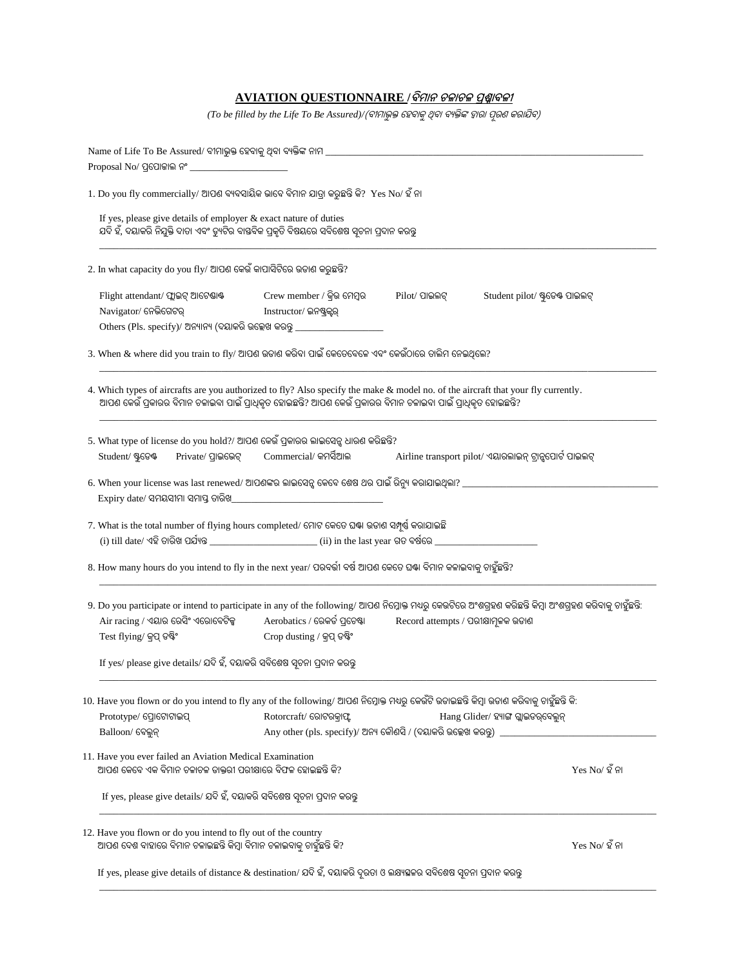## **AVIATION QUESTIONNAIRE /ବିମାନ ଚଳାଚଳ ପ୍ରଶ୍ନାବଳୀ**

*(To be filled by the Life To Be Assured)/(ବୀମାଭୁକ୍ତ ହେବାକୁ ଥିବା ବ୍ୟକ୍ତିଙ୍କ ଦ୍ୱାରା ପୁରଶ କରାଯିବ)* 

| 1. Do you fly commercially/ ଆପଶ ବ୍ୟବସାୟିକ ଭାବେ ବିମାନ ଯାତ୍ରା କରୁଛନ୍ତି କି? Yes No/ ହଁ ନା<br>If yes, please give details of employer $\&$ exact nature of duties<br>ଯଦି ହଁ, ଦୟାକରି ନିଯୁକ୍ତି ଦାତା ଏବଂ ଡ୍ୟୁଟିର ବାଷ୍ତବିକ ପୁକୃତି ବିଷୟରେ ସବିଶେଷ ସ୍ୱଚନା ପ୍ରଦାନ କରନ୍ତୁ<br>2. In what capacity do you fly/ ଆପଶ କେଉଁ କାପାସିଟିରେ ଉଡାଶ କରୁଛନ୍ତି? |                                                                                                               |                                    |                                                                                                                                                            |  |  |                                                                                                                                                 |                                                          |               |                                 |
|------------------------------------------------------------------------------------------------------------------------------------------------------------------------------------------------------------------------------------------------------------------------------------------------------------------------------------|---------------------------------------------------------------------------------------------------------------|------------------------------------|------------------------------------------------------------------------------------------------------------------------------------------------------------|--|--|-------------------------------------------------------------------------------------------------------------------------------------------------|----------------------------------------------------------|---------------|---------------------------------|
|                                                                                                                                                                                                                                                                                                                                    |                                                                                                               |                                    |                                                                                                                                                            |  |  | Flight attendant/ ପ୍ଲାଇଟ୍ ଆଟେଷାଷ୍ଟ<br>Navigator/ ନେଭିଗେଟର୍<br>Others (Pls. specify)/ ଅନ୍ୟାନ୍ୟ (ଦୟାକରି ଉଲ୍ଲେଖ କରନ୍ତୁ ___________________________ | $C$ rew member / କ୍ରିଭ ମେମ୍ବର<br>Instructor/ ଇନଷ୍ଟ୍ରକୃର୍ | Pilot/ ପାଇଲଟ୍ | Student pilot/ ଷ୍ଟୁଡେଷ୍ଟ ପାଇଲଟ୍ |
|                                                                                                                                                                                                                                                                                                                                    |                                                                                                               |                                    |                                                                                                                                                            |  |  | 3. When $\&$ where did you train to fly/ ଆପଶ ଉଡାଶ କରିବା ପାଇଁ କେତେବେଳେ ଏବଂ କେଉଁଠାରେ ତାଲିମ ନେଇଥିଲେ?                                               |                                                          |               |                                 |
| 4. Which types of aircrafts are you authorized to fly? Also specify the make & model no. of the aircraft that your fly currently.                                                                                                                                                                                                  | ଆପଶ କେଉଁ ପ୍ରକାରର ବିମାନ ଚଳାଇବା ପାଇଁ ପ୍ରାଧିକୃତ ହୋଇଛନ୍ତି? ଆପଶ କେଉଁ ପ୍ରକାରର ବିମାନ ଚଳାଇବା ପାଇଁ ପ୍ରାଧିକୃତ ହୋଇଛନ୍ତି? |                                    |                                                                                                                                                            |  |  |                                                                                                                                                 |                                                          |               |                                 |
| 5. What type of license do you hold?/ ଆପଶ କେଉଁ ପ୍ରକାରର ଲାଇସେନ୍ସ ଧାରଶ କରିଛନ୍ତି?<br>Student/ ଷ୍ଟୁଡେଷ୍ଟ<br>Private/ ପ୍ରାଇଭେଟ୍                                                                                                                                                                                                         | Commercial/ କମର୍ସିଆଲ                                                                                          |                                    | Airline transport pilot/ ଏୟାରଲାଇନ୍ ଟ୍ରାନ୍ସପୋର୍ଟ ପାଇଲଟ୍                                                                                                     |  |  |                                                                                                                                                 |                                                          |               |                                 |
|                                                                                                                                                                                                                                                                                                                                    |                                                                                                               |                                    |                                                                                                                                                            |  |  |                                                                                                                                                 |                                                          |               |                                 |
| Expiry date/ ସମୟସୀମା ସମାସ୍ତ ତାରିଖ_                                                                                                                                                                                                                                                                                                 |                                                                                                               |                                    |                                                                                                                                                            |  |  |                                                                                                                                                 |                                                          |               |                                 |
|                                                                                                                                                                                                                                                                                                                                    |                                                                                                               |                                    |                                                                                                                                                            |  |  |                                                                                                                                                 |                                                          |               |                                 |
| Air racing / ଏୟାର ରେସିଂ ଏରୋବେଟିକ୍ସ<br>Test flying/ କ୍ରପ୍ ତଷ୍ଟିଂ                                                                                                                                                                                                                                                                    | Aerobatics / ରେକର୍ଡ ପ୍ରଚେଷ୍ଟା<br>Crop dusting / କ୍ରପ୍ ଡଷ୍ଟିଂ                                                  | Record attempts / ପରୀକ୍ଷାମୂଳକ ଉଡାଣ |                                                                                                                                                            |  |  |                                                                                                                                                 |                                                          |               |                                 |
| 7. What is the total number of flying hours completed/ ମୋଟ କେତେ ଘଷା ଉଡାଶ ସମ୍ପୂର୍ଷ କରାଯାଇଛି<br>8. How many hours do you intend to fly in the next year/ ପରବର୍ତ୍ତୀ ବର୍ଷ ଆପଶ କେତେ ଘଷ୍ଟା ବିମାନ କଳାଇବାକୁ ଚାହୁଁଛନ୍ତି?<br>If yes/ please give details/ ଯଦି ହଁ, ଦୟାକରି ସବିଶେଷ ସ୍ୱଚନା ପ୍ରଦାନ କରନ୍ତୁ                                         |                                                                                                               |                                    | 9. Do you participate or intend to participate in any of the following/ ଆପଶ ନିମ୍ନୋକ୍ତ ମଧ୍ୟରୁ କେଉଟିରେ ଅଂଶଗ୍ରହଣ କରିଛନ୍ତି କିମ୍ବା ଅଂଶଗ୍ରହଣ କରିବାକୁ ଚାହୁଁଛନ୍ତି: |  |  |                                                                                                                                                 |                                                          |               |                                 |
| Prototype/ ପ୍ରୋଟୋଟାଇପ୍<br>Balloon/ ବେଲୁନ୍                                                                                                                                                                                                                                                                                          | Rotorcraft/ ରୋଟରକ୍ରାଫ୍ଟ<br>Any other (pls. specify)/ ଅନ୍ୟ କୌଶସି / (ଦୟାକରି ଉଲ୍ଲେଖ କରନ୍ତୁ) __________           |                                    | Hang Glider/ ହ୍ୟାଙ୍ଗ ଗ୍ଲାଇଡର୍ବେଲୁନ୍                                                                                                                        |  |  |                                                                                                                                                 |                                                          |               |                                 |
| ଆପଶ କେବେ ଏକ ବିମାନ ଚଳାଚଳ ଡାକ୍ତରୀ ପରୀକ୍ଷାରେ ବିଫଳ ହୋଇଛନ୍ତି କି?                                                                                                                                                                                                                                                                        |                                                                                                               |                                    | $Yes No/$ ହ ଁ ନା                                                                                                                                           |  |  |                                                                                                                                                 |                                                          |               |                                 |
| 10. Have you flown or do you intend to fly any of the following/ ଆପଶ ନିମ୍ନୋକ୍ତ ମଧ୍ୟରୁ କେଉଁଟି ଉଡାଇଛନ୍ତି କିମ୍ବା ଉଡାଶ କରିବାକୁ ଚାହୁଁଛନ୍ତି କି:<br>11. Have you ever failed an Aviation Medical Examination<br>If yes, please give details/ ଯଦି ହଁ, ଦୟାକରି ସବିଶେଷ ସ୍ୱଚନା ପ୍ରଦାନ କରନ୍ତୁ                                                   |                                                                                                               |                                    |                                                                                                                                                            |  |  |                                                                                                                                                 |                                                          |               |                                 |

 $\_$  ,  $\_$  ,  $\_$  ,  $\_$  ,  $\_$  ,  $\_$  ,  $\_$  ,  $\_$  ,  $\_$  ,  $\_$  ,  $\_$  ,  $\_$  ,  $\_$  ,  $\_$  ,  $\_$  ,  $\_$  ,  $\_$  ,  $\_$  ,  $\_$  ,  $\_$  ,  $\_$  ,  $\_$  ,  $\_$  ,  $\_$  ,  $\_$  ,  $\_$  ,  $\_$  ,  $\_$  ,  $\_$  ,  $\_$  ,  $\_$  ,  $\_$  ,  $\_$  ,  $\_$  ,  $\_$  ,  $\_$  ,  $\_$  ,